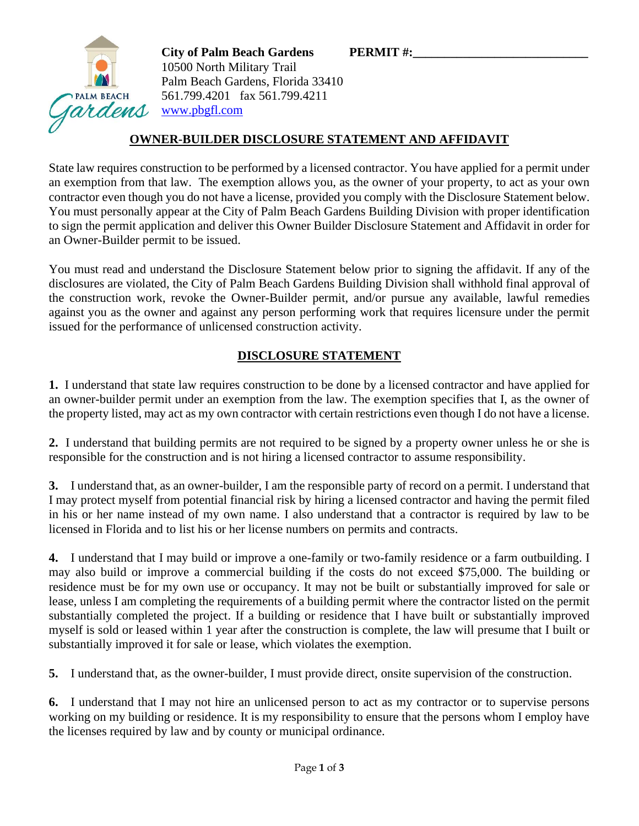

**City of Palm Beach Gardens PERMIT #:** 10500 North Military Trail Palm Beach Gardens, Florida 33410 561.799.4201 fax 561.799.4211 [www.pbgfl.com](http://www.pbgfl.com/)

## **OWNER-BUILDER DISCLOSURE STATEMENT AND AFFIDAVIT**

State law requires construction to be performed by a licensed contractor. You have applied for a permit under an exemption from that law. The exemption allows you, as the owner of your property, to act as your own contractor even though you do not have a license, provided you comply with the Disclosure Statement below. You must personally appear at the City of Palm Beach Gardens Building Division with proper identification to sign the permit application and deliver this Owner Builder Disclosure Statement and Affidavit in order for an Owner-Builder permit to be issued.

You must read and understand the Disclosure Statement below prior to signing the affidavit. If any of the disclosures are violated, the City of Palm Beach Gardens Building Division shall withhold final approval of the construction work, revoke the Owner-Builder permit, and/or pursue any available, lawful remedies against you as the owner and against any person performing work that requires licensure under the permit issued for the performance of unlicensed construction activity.

## **DISCLOSURE STATEMENT**

**1.** I understand that state law requires construction to be done by a licensed contractor and have applied for an owner-builder permit under an exemption from the law. The exemption specifies that I, as the owner of the property listed, may act as my own contractor with certain restrictions even though I do not have a license.

**2.** I understand that building permits are not required to be signed by a property owner unless he or she is responsible for the construction and is not hiring a licensed contractor to assume responsibility.

**3.** I understand that, as an owner-builder, I am the responsible party of record on a permit. I understand that I may protect myself from potential financial risk by hiring a licensed contractor and having the permit filed in his or her name instead of my own name. I also understand that a contractor is required by law to be licensed in Florida and to list his or her license numbers on permits and contracts.

**4.** I understand that I may build or improve a one-family or two-family residence or a farm outbuilding. I may also build or improve a commercial building if the costs do not exceed \$75,000. The building or residence must be for my own use or occupancy. It may not be built or substantially improved for sale or lease, unless I am completing the requirements of a building permit where the contractor listed on the permit substantially completed the project. If a building or residence that I have built or substantially improved myself is sold or leased within 1 year after the construction is complete, the law will presume that I built or substantially improved it for sale or lease, which violates the exemption.

**5.** I understand that, as the owner-builder, I must provide direct, onsite supervision of the construction.

**6.** I understand that I may not hire an unlicensed person to act as my contractor or to supervise persons working on my building or residence. It is my responsibility to ensure that the persons whom I employ have the licenses required by law and by county or municipal ordinance.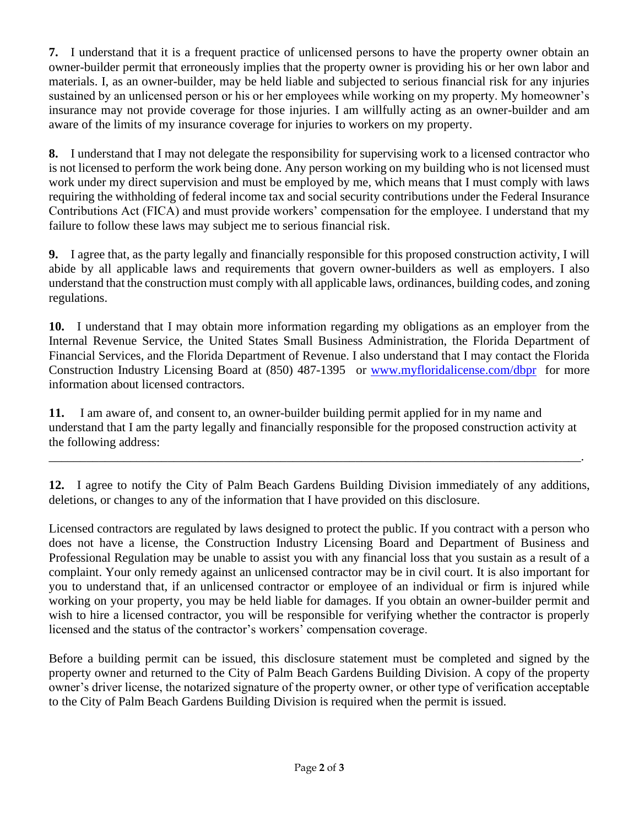**7.** I understand that it is a frequent practice of unlicensed persons to have the property owner obtain an owner-builder permit that erroneously implies that the property owner is providing his or her own labor and materials. I, as an owner-builder, may be held liable and subjected to serious financial risk for any injuries sustained by an unlicensed person or his or her employees while working on my property. My homeowner's insurance may not provide coverage for those injuries. I am willfully acting as an owner-builder and am aware of the limits of my insurance coverage for injuries to workers on my property.

**8.** I understand that I may not delegate the responsibility for supervising work to a licensed contractor who is not licensed to perform the work being done. Any person working on my building who is not licensed must work under my direct supervision and must be employed by me, which means that I must comply with laws requiring the withholding of federal income tax and social security contributions under the Federal Insurance Contributions Act (FICA) and must provide workers' compensation for the employee. I understand that my failure to follow these laws may subject me to serious financial risk.

**9.** I agree that, as the party legally and financially responsible for this proposed construction activity, I will abide by all applicable laws and requirements that govern owner-builders as well as employers. I also understand that the construction must comply with all applicable laws, ordinances, building codes, and zoning regulations.

**10.** I understand that I may obtain more information regarding my obligations as an employer from the Internal Revenue Service, the United States Small Business Administration, the Florida Department of Financial Services, and the Florida Department of Revenue. I also understand that I may contact the Florida Construction Industry Licensing Board at (850) 487-1395 or [www.myfloridalicense.com/dbpr](http://www.myfloridalicense.com/dbpr) for more information about licensed contractors.

**11.** I am aware of, and consent to, an owner-builder building permit applied for in my name and understand that I am the party legally and financially responsible for the proposed construction activity at the following address:

\_\_\_\_\_\_\_\_\_\_\_\_\_\_\_\_\_\_\_\_\_\_\_\_\_\_\_\_\_\_\_\_\_\_\_\_\_\_\_\_\_\_\_\_\_\_\_\_\_\_\_\_\_\_\_\_\_\_\_\_\_\_\_\_\_\_\_\_\_\_\_\_\_\_\_\_\_\_\_\_\_\_\_\_\_.

**12.** I agree to notify the City of Palm Beach Gardens Building Division immediately of any additions, deletions, or changes to any of the information that I have provided on this disclosure.

Licensed contractors are regulated by laws designed to protect the public. If you contract with a person who does not have a license, the Construction Industry Licensing Board and Department of Business and Professional Regulation may be unable to assist you with any financial loss that you sustain as a result of a complaint. Your only remedy against an unlicensed contractor may be in civil court. It is also important for you to understand that, if an unlicensed contractor or employee of an individual or firm is injured while working on your property, you may be held liable for damages. If you obtain an owner-builder permit and wish to hire a licensed contractor, you will be responsible for verifying whether the contractor is properly licensed and the status of the contractor's workers' compensation coverage.

Before a building permit can be issued, this disclosure statement must be completed and signed by the property owner and returned to the City of Palm Beach Gardens Building Division. A copy of the property owner's driver license, the notarized signature of the property owner, or other type of verification acceptable to the City of Palm Beach Gardens Building Division is required when the permit is issued.